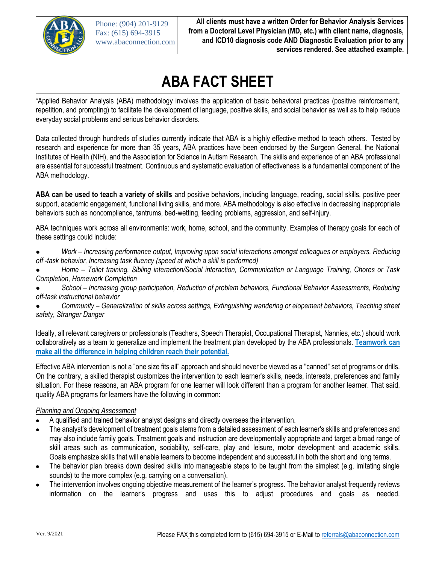

# **ABA FACT SHEET**

"Applied Behavior Analysis (ABA) methodology involves the application of basic behavioral practices (positive reinforcement, repetition, and prompting) to facilitate the development of language, positive skills, and social behavior as well as to help reduce everyday social problems and serious behavior disorders.

Data collected through hundreds of studies currently indicate that ABA is a highly effective method to teach others. Tested by research and experience for more than 35 years, ABA practices have been endorsed by the Surgeon General, the National Institutes of Health (NIH), and the Association for Science in Autism Research. The skills and experience of an ABA professional are essential for successful treatment. Continuous and systematic evaluation of effectiveness is a fundamental component of the ABA methodology.

ABA can be used to teach a variety of skills and positive behaviors, including language, reading, social skills, positive peer support, academic engagement, functional living skills, and more. ABA methodology is also effective in decreasing inappropriate behaviors such as noncompliance, tantrums, bed-wetting, feeding problems, aggression, and self-injury.

ABA techniques work across all environments: work, home, school, and the community. Examples of therapy goals for each of these settings could include:

- Work Increasing performance output, Improving upon social interactions amongst colleagues or employers, Reducing off-task behavior, Increasing task fluency (speed at which a skill is performed)
- Home Toilet training, Sibling interaction/Social interaction, Communication or Language Training, Chores or Task **Completion, Homework Completion**
- School Increasing group participation, Reduction of problem behaviors, Functional Behavior Assessments, Reducing off-task instructional behavior
- Community Generalization of skills across settings, Extinguishing wandering or elopement behaviors, Teaching street safety, Stranger Danger

Ideally, all relevant caregivers or professionals (Teachers, Speech Therapist, Occupational Therapist, Nannies, etc.) should work collaboratively as a team to generalize and implement the treatment plan developed by the ABA professionals. Teamwork can make all the difference in helping children reach their potential.

Effective ABA intervention is not a "one size fits all" approach and should never be viewed as a "canned" set of programs or drills. On the contrary, a skilled therapist customizes the intervention to each learner's skills, needs, interests, preferences and family situation. For these reasons, an ABA program for one learner will look different than a program for another learner. That said, quality ABA programs for learners have the following in common:

### **Planning and Ongoing Assessment**

- A qualified and trained behavior analyst designs and directly oversees the intervention.
- The analyst's development of treatment goals stems from a detailed assessment of each learner's skills and preferences and may also include family goals. Treatment goals and instruction are developmentally appropriate and target a broad range of skill areas such as communication, sociability, self-care, play and leisure, motor development and academic skills. Goals emphasize skills that will enable learners to become independent and successful in both the short and long terms.
- The behavior plan breaks down desired skills into manageable steps to be taught from the simplest (e.g. imitating single sounds) to the more complex (e.g. carrying on a conversation).
- The intervention involves ongoing objective measurement of the learner's progress. The behavior analyst frequently reviews information on the learner's progress and uses this to adjust procedures and goals as needed.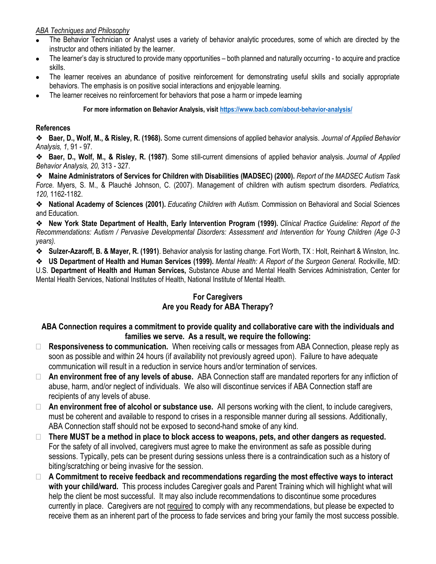### **ABA Techniques and Philosophy**

- The Behavior Technician or Analyst uses a variety of behavior analytic procedures, some of which are directed by the instructor and others initiated by the learner.
- The learner's day is structured to provide many opportunities both planned and naturally occurring to acquire and practice skills.
- The learner receives an abundance of positive reinforcement for demonstrating useful skills and socially appropriate behaviors. The emphasis is on positive social interactions and enjoyable learning.
- The learner receives no reinforcement for behaviors that pose a harm or impede learning

For more information on Behavior Analysis, visit https://www.bacb.com/about-behavior-analysis/

## **References**

❖ Baer, D., Wolf, M., & Risley, R. (1968). Some current dimensions of applied behavior analysis. Journal of Applied Behavior Analysis, 1, 91 - 97.

**→** Baer, D., Wolf, M., & Risley, R. (1987). Some still-current dimensions of applied behavior analysis. Journal of Applied Behavior Analysis, 20, 313 - 327.

\* Maine Administrators of Services for Children with Disabilities (MADSEC) (2000). Report of the MADSEC Autism Task Force. Myers, S. M., & Plauché Johnson, C. (2007). Management of children with autism spectrum disorders. Pediatrics, 120, 1162-1182.

**Example 2** National Academy of Sciences (2001). Educating Children with Autism. Commission on Behavioral and Social Sciences and Education.

◆ New York State Department of Health, Early Intervention Program (1999). Clinical Practice Guideline: Report of the Recommendations: Autism / Pervasive Developmental Disorders: Assessment and Intervention for Young Children (Age 0-3 years).

**→** Sulzer-Azaroff, B. & Mayer, R. (1991). Behavior analysis for lasting change. Fort Worth, TX: Holt, Reinhart & Winston, Inc.

**❖ US Department of Health and Human Services (1999).** Mental Health: A Report of the Surgeon General. Rockville, MD: U.S. Department of Health and Human Services, Substance Abuse and Mental Health Services Administration, Center for Mental Health Services, National Institutes of Health, National Institute of Mental Health.

# **For Caregivers** Are you Ready for ABA Therapy?

# ABA Connection requires a commitment to provide quality and collaborative care with the individuals and families we serve. As a result, we require the following:

- □ Responsiveness to communication. When receiving calls or messages from ABA Connection, please reply as soon as possible and within 24 hours (if availability not previously agreed upon). Failure to have adequate communication will result in a reduction in service hours and/or termination of services.
- $\Box$  An environment free of any levels of abuse. ABA Connection staff are mandated reporters for any infliction of abuse, harm, and/or neglect of individuals. We also will discontinue services if ABA Connection staff are recipients of any levels of abuse.
- $\Box$  An environment free of alcohol or substance use. All persons working with the client, to include caregivers, must be coherent and available to respond to crises in a responsible manner during all sessions. Additionally, ABA Connection staff should not be exposed to second-hand smoke of any kind.
- $\Box$  There MUST be a method in place to block access to weapons, pets, and other dangers as requested. For the safety of all involved, caregivers must agree to make the environment as safe as possible during sessions. Typically, pets can be present during sessions unless there is a contraindication such as a history of biting/scratching or being invasive for the session.
- $\Box$  A Commitment to receive feedback and recommendations regarding the most effective ways to interact with your child/ward. This process includes Caregiver goals and Parent Training which will highlight what will help the client be most successful. It may also include recommendations to discontinue some procedures currently in place. Caregivers are not required to comply with any recommendations, but please be expected to receive them as an inherent part of the process to fade services and bring your family the most success possible.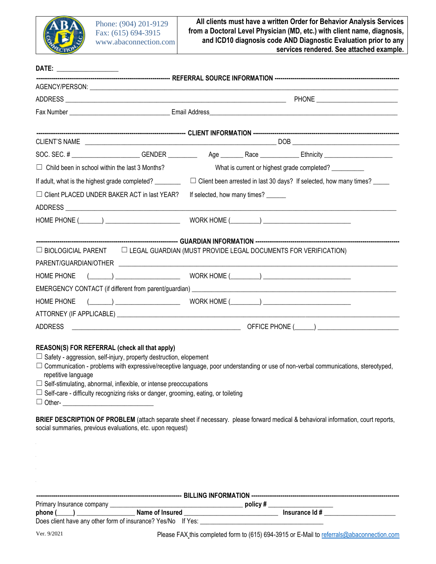

| $\Box$ Child been in school within the last 3 Months?                                                                                                                                                                                                                                                                                                                                                                                                                                                                                                                                                                              |              | What is current or highest grade completed? __________                           |  |  |  |
|------------------------------------------------------------------------------------------------------------------------------------------------------------------------------------------------------------------------------------------------------------------------------------------------------------------------------------------------------------------------------------------------------------------------------------------------------------------------------------------------------------------------------------------------------------------------------------------------------------------------------------|--------------|----------------------------------------------------------------------------------|--|--|--|
| If adult, what is the highest grade completed? ________                                                                                                                                                                                                                                                                                                                                                                                                                                                                                                                                                                            |              | $\Box$ Client been arrested in last 30 days? If selected, how many times? ______ |  |  |  |
| $\Box$ Client PLACED UNDER BAKER ACT in last YEAR?                                                                                                                                                                                                                                                                                                                                                                                                                                                                                                                                                                                 |              | If selected, how many times?                                                     |  |  |  |
|                                                                                                                                                                                                                                                                                                                                                                                                                                                                                                                                                                                                                                    |              |                                                                                  |  |  |  |
| HOME PHONE (\Resourcess) \Resourcess \Resourcess \Resourcess \Resourcess \Resourcess \Resourcess \Resourcess \R                                                                                                                                                                                                                                                                                                                                                                                                                                                                                                                    |              |                                                                                  |  |  |  |
|                                                                                                                                                                                                                                                                                                                                                                                                                                                                                                                                                                                                                                    |              |                                                                                  |  |  |  |
| $\Box$ BIOLOGICIAL PARENT $\Box$ LEGAL GUARDIAN (MUST PROVIDE LEGAL DOCUMENTS FOR VERIFICATION)                                                                                                                                                                                                                                                                                                                                                                                                                                                                                                                                    |              |                                                                                  |  |  |  |
|                                                                                                                                                                                                                                                                                                                                                                                                                                                                                                                                                                                                                                    |              |                                                                                  |  |  |  |
| <b>HOME PHONE</b>                                                                                                                                                                                                                                                                                                                                                                                                                                                                                                                                                                                                                  | $(\_\_\_\_)$ |                                                                                  |  |  |  |
|                                                                                                                                                                                                                                                                                                                                                                                                                                                                                                                                                                                                                                    |              |                                                                                  |  |  |  |
| <b>HOME PHONE</b>                                                                                                                                                                                                                                                                                                                                                                                                                                                                                                                                                                                                                  |              |                                                                                  |  |  |  |
|                                                                                                                                                                                                                                                                                                                                                                                                                                                                                                                                                                                                                                    |              |                                                                                  |  |  |  |
| <b>ADDRESS</b>                                                                                                                                                                                                                                                                                                                                                                                                                                                                                                                                                                                                                     |              |                                                                                  |  |  |  |
| REASON(S) FOR REFERRAL (check all that apply)<br>$\Box$ Safety - aggression, self-injury, property destruction, elopement<br>$\Box$ Communication - problems with expressive/receptive language, poor understanding or use of non-verbal communications, stereotyped,<br>repetitive language<br>$\Box$ Self-stimulating, abnormal, inflexible, or intense preoccupations<br>$\Box$ Self-care - difficulty recognizing risks or danger, grooming, eating, or toileting<br>$\Box$ Other- $\Box$<br>BRIEF DESCRIPTION OF PROBLEM (attach separate sheet if necessary. please forward medical & behavioral information, court reports, |              |                                                                                  |  |  |  |
| social summaries, previous evaluations, etc. upon request)                                                                                                                                                                                                                                                                                                                                                                                                                                                                                                                                                                         |              |                                                                                  |  |  |  |

| Primary Insurance company                            | policy#        |  |  |  |  |
|------------------------------------------------------|----------------|--|--|--|--|
| phone<br>Name of Insured                             | Insurance Id # |  |  |  |  |
| Does client have any other form of insurance? Yes/No | lf Yes:        |  |  |  |  |

Please FAX this completed form to (615) 694-3915 or E-Mail to referrals@abaconnection.com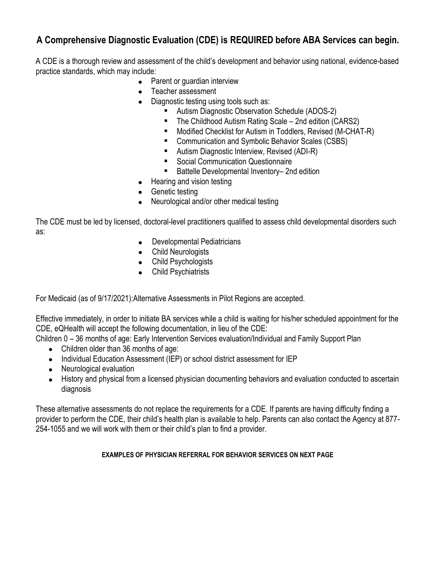# A Comprehensive Diagnostic Evaluation (CDE) is REQUIRED before ABA Services can begin.

A CDE is a thorough review and assessment of the child's development and behavior using national, evidence-based practice standards, which may include:

- Parent or quardian interview
- Teacher assessment
- Diagnostic testing using tools such as:
	- Autism Diagnostic Observation Schedule (ADOS-2)
	- The Childhood Autism Rating Scale 2nd edition (CARS2)
	- " Modified Checklist for Autism in Toddlers, Revised (M-CHAT-R)
	- Communication and Symbolic Behavior Scales (CSBS)
	- Autism Diagnostic Interview, Revised (ADI-R)
	- Social Communication Questionnaire
	- Battelle Developmental Inventory-2nd edition
- Hearing and vision testing
- Genetic testing
- Neurological and/or other medical testing

The CDE must be led by licensed, doctoral-level practitioners qualified to assess child developmental disorders such as:

- Developmental Pediatricians
- Child Neurologists
- Child Psychologists
- Child Psychiatrists

For Medicaid (as of 9/17/2021): Alternative Assessments in Pilot Regions are accepted.

Effective immediately, in order to initiate BA services while a child is waiting for his/her scheduled appointment for the CDE, eQHealth will accept the following documentation, in lieu of the CDE:

Children 0 – 36 months of age: Early Intervention Services evaluation/Individual and Family Support Plan

- Children older than 36 months of age:
- Individual Education Assessment (IEP) or school district assessment for IEP
- Neurological evaluation
- History and physical from a licensed physician documenting behaviors and evaluation conducted to ascertain diagnosis

These alternative assessments do not replace the requirements for a CDE. If parents are having difficulty finding a provider to perform the CDE, their child's health plan is available to help. Parents can also contact the Agency at 877-254-1055 and we will work with them or their child's plan to find a provider.

### **EXAMPLES OF PHYSICIAN REFERRAL FOR BEHAVIOR SERVICES ON NEXT PAGE**